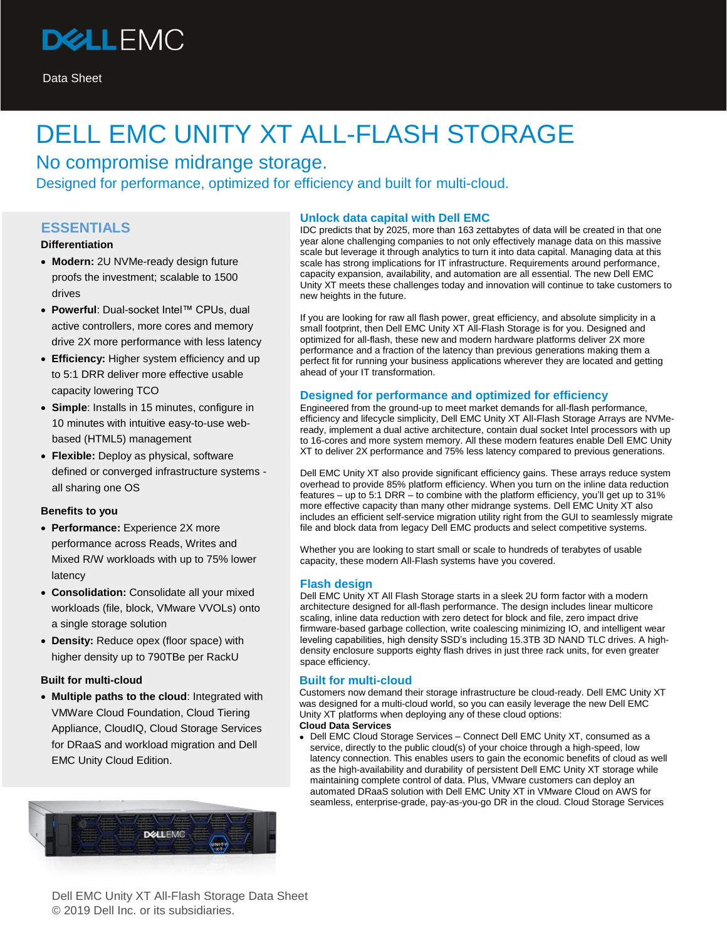

## DELL EMC UNITY XT ALL-FLASH STORAGE

No compromise midrange storage. Designed for performance, optimized for efficiency and built for multi-cloud.

#### **ESSENTIALS**

#### **Differentiation**

- **Modern:** 2U NVMe-ready design future proofs the investment; scalable to 1500 drives
- **Powerful**: Dual-socket Intel™ CPUs, dual active controllers, more cores and memory drive 2X more performance with less latency
- **Efficiency:** Higher system efficiency and up to 5:1 DRR deliver more effective usable capacity lowering TCO
- **Simple**: Installs in 15 minutes, configure in 10 minutes with intuitive easy-to-use webbased (HTML5) management
- **Flexible:** Deploy as physical, software defined or converged infrastructure systems all sharing one OS

#### **Benefits to you**

- **Performance:** Experience 2X more performance across Reads, Writes and Mixed R/W workloads with up to 75% lower latency
- **Consolidation:** Consolidate all your mixed workloads (file, block, VMware VVOLs) onto a single storage solution
- **Density:** Reduce opex (floor space) with higher density up to 790TBe per RackU

#### **Built for multi-cloud**

• **Multiple paths to the cloud**: Integrated with VMWare Cloud Foundation, Cloud Tiering Appliance, CloudIQ, Cloud Storage Services for DRaaS and workload migration and Dell EMC Unity Cloud Edition.



#### **Unlock data capital with Dell EMC**

IDC predicts that by 2025, more than 163 zettabytes of data will be created in that one year alone challenging companies to not only effectively manage data on this massive scale but leverage it through analytics to turn it into data capital. Managing data at this scale has strong implications for IT infrastructure. Requirements around performance, capacity expansion, availability, and automation are all essential. The new Dell EMC Unity XT meets these challenges today and innovation will continue to take customers to new heights in the future.

If you are looking for raw all flash power, great efficiency, and absolute simplicity in a small footprint, then Dell EMC Unity XT All-Flash Storage is for you. Designed and optimized for all-flash, these new and modern hardware platforms deliver 2X more performance and a fraction of the latency than previous generations making them a perfect fit for running your business applications wherever they are located and getting ahead of your IT transformation.

#### **Designed for performance and optimized for efficiency**

Engineered from the ground-up to meet market demands for all-flash performance, efficiency and lifecycle simplicity, Dell EMC Unity XT All-Flash Storage Arrays are NVMeready, implement a dual active architecture, contain dual socket Intel processors with up to 16-cores and more system memory. All these modern features enable Dell EMC Unity XT to deliver 2X performance and 75% less latency compared to previous generations.

Dell EMC Unity XT also provide significant efficiency gains. These arrays reduce system overhead to provide 85% platform efficiency. When you turn on the inline data reduction features – up to 5:1 DRR – to combine with the platform efficiency, you'll get up to 31% more effective capacity than many other midrange systems. Dell EMC Unity XT also includes an efficient self-service migration utility right from the GUI to seamlessly migrate file and block data from legacy Dell EMC products and select competitive systems.

Whether you are looking to start small or scale to hundreds of terabytes of usable capacity, these modern All-Flash systems have you covered.

#### **Flash design**

Dell EMC Unity XT All Flash Storage starts in a sleek 2U form factor with a modern architecture designed for all-flash performance. The design includes linear multicore scaling, inline data reduction with zero detect for block and file, zero impact drive firmware-based garbage collection, write coalescing minimizing IO, and intelligent wear leveling capabilities, high density SSD's including 15.3TB 3D NAND TLC drives. A highdensity enclosure supports eighty flash drives in just three rack units, for even greater space efficiency.

#### **Built for multi-cloud**

Customers now demand their storage infrastructure be cloud-ready. Dell EMC Unity XT was designed for a multi-cloud world, so you can easily leverage the new Dell EMC Unity XT platforms when deploying any of these cloud options: **Cloud Data Services**

• Dell EM[C Cloud Storage Services –](https://www.dellemc.com/en-us/cloud/hybrid-cloud-computing/index.htm) Connect Dell EMC Unity XT, consumed as a service, directly to the public cloud(s) of your choice through a high-speed, low latency connection. This enables users to gain the economic benefits of cloud as well as the high-availability and durability of persistent Dell EMC Unity XT storage while maintaining complete control of data. Plus, VMware customers can deploy an automated DRaaS solution with Dell EMC Unity XT in VMware Cloud on AWS for seamless, enterprise-grade, pay-as-you-go DR in the cloud. Cloud Storage Services

Dell EMC Unity XT All-Flash Storage Data Sheet © 2019 Dell Inc. or its subsidiaries.